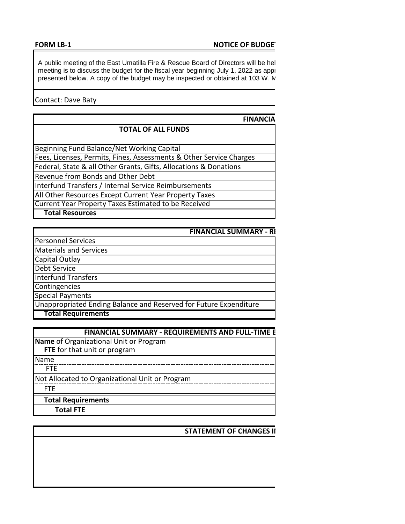#### **FORM LB-1**

### **NOTICE OF BUDGET**

A public meeting of the East Umatilla Fire & Rescue Board of Directors will be hel meeting is to discuss the budget for the fiscal year beginning July 1, 2022 as approved by the East Umatilla Fig. 2022 as approved by the East Umatilla Fig. 2022 as approved by the East Umatilla Fig. 2022 as approved by th presented below. A copy of the budget may be inspected or obtained at 103 W. N

Contact: Dave Baty

# **TOTAL OF ALL FUNDS**

**FINANCIA** 

All Other Resources Except Current Year Property Taxes Current Year Property Taxes Estimated to be Received Interfund Transfers / Internal Service Reimbursements Beginning Fund Balance/Net Working Capital Fees, Licenses, Permits, Fines, Assessments & Other Service Charges Federal, State & all Other Grants, Gifts, Allocations & Donations Revenue from Bonds and Other Debt

 **Total Resources** 

## **FINANCIAL SUMMARY - RE**

Unappropriated Ending Balance and Reserved for Future Expenditure **Total Requirements** Special Payments Personnel Services Materials and Services Capital Outlay Debt Service Interfund Transfers Contingencies

#### **FINANCIAL SUMMARY - REQUIREMENTS AND FULL-TIME E**

**Name** of Organizational Unit or Program  **FTE** for that unit or program

Name

**FTE** 

Not Allocated to Organizational Unit or Program

FTE

### **Total Requirements**

**Total FTE**

## **STATEMENT OF CHANGES II**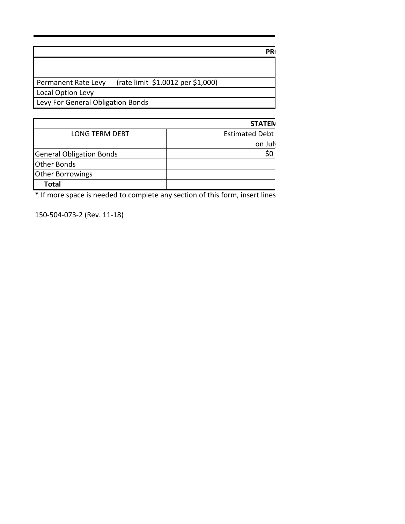| <b>PR</b> |
|-----------|
|           |
|           |
|           |
|           |
|           |
|           |

| <b>STATEN</b> |  |
|---------------|--|
|               |  |

| <b>LONG TERM DEBT</b>           | <b>Estimated Debt</b> |
|---------------------------------|-----------------------|
|                                 | on July               |
| <b>General Obligation Bonds</b> | SC                    |
| <b>Other Bonds</b>              |                       |
| <b>Other Borrowings</b>         |                       |
| Total                           |                       |

\* If more space is needed to complete any section of this form, insert lines.  $\blacksquare$ 

150-504-073-2 (Rev. 11-18)

L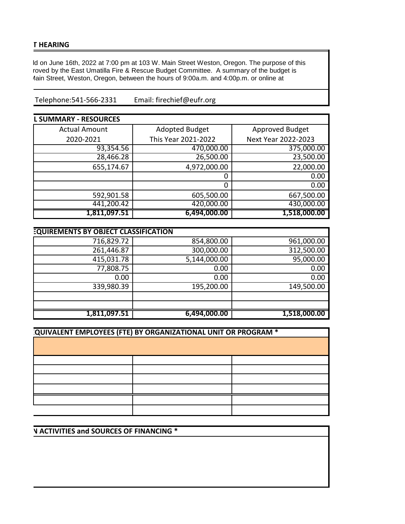#### **T HEARING**

Telephone:541-566-2331

ld on June 16th, 2022 at 7:00 pm at 103 W. Main Street Weston, Oregon. The purpose of this roved by the East Umatilla Fire & Rescue Budget Committee. A summary of the budget is Aain Street, Weston, Oregon, between the hours of 9:00a.m. and 4:00p.m. or online at

Email: firechief@eufr.org

| <b>L SUMMARY - RESOURCES</b> |                       |                     |
|------------------------------|-----------------------|---------------------|
| <b>Actual Amount</b>         | <b>Adopted Budget</b> | Approved Budget     |
| 2020-2021                    | This Year 2021-2022   | Next Year 2022-2023 |
| 93,354.56                    | 470,000.00            | 375,000.00          |
| 28,466.28                    | 26,500.00             | 23,500.00           |
| 655,174.67                   | 4,972,000.00          | 22,000.00           |
|                              | 0                     | 0.00                |
|                              | 0                     | 0.00                |
| 592,901.58                   | 605,500.00            | 667,500.00          |
| 441,200.42                   | 420,000.00            | 430,000.00          |
| 1,811,097.51                 | 6,494,000.00          | 1,518,000.00        |

|              | <b>EQUIREMENTS BY OBJECT CLASSIFICATION</b> |              |  |  |  |  |
|--------------|---------------------------------------------|--------------|--|--|--|--|
| 716,829.72   | 854,800.00                                  | 961,000.00   |  |  |  |  |
| 261,446.87   | 300,000.00                                  | 312,500.00   |  |  |  |  |
| 415,031.78   | 5,144,000.00                                | 95,000.00    |  |  |  |  |
| 77,808.75    | 0.00                                        | 0.00         |  |  |  |  |
| 0.00         | 0.00                                        | 0.00         |  |  |  |  |
| 339,980.39   | 195,200.00                                  | 149,500.00   |  |  |  |  |
|              |                                             |              |  |  |  |  |
|              |                                             |              |  |  |  |  |
| 1,811,097.51 | 6,494,000.00                                | 1,518,000.00 |  |  |  |  |

| <b>QUIVALENT EMPLOYEES (FTE) BY ORGANIZATIONAL UNIT OR PROGRAM *</b> |  |  |
|----------------------------------------------------------------------|--|--|
|                                                                      |  |  |
|                                                                      |  |  |
|                                                                      |  |  |
|                                                                      |  |  |
|                                                                      |  |  |
|                                                                      |  |  |
|                                                                      |  |  |

| N ACTIVITIES and SOURCES OF FINANCING * |  |  |  |  |
|-----------------------------------------|--|--|--|--|
|                                         |  |  |  |  |
|                                         |  |  |  |  |
|                                         |  |  |  |  |
|                                         |  |  |  |  |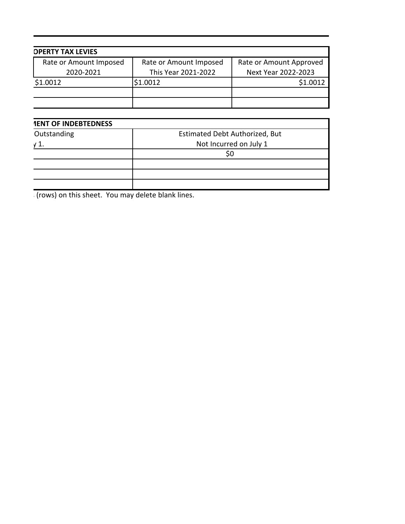| <b>OPERTY TAX LEVIES</b> |                        |                         |
|--------------------------|------------------------|-------------------------|
| Rate or Amount Imposed   | Rate or Amount Imposed | Rate or Amount Approved |
| 2020-2021                | This Year 2021-2022    | Next Year 2022-2023     |
| \$1.0012                 | \$1.0012               | \$1.0012                |
|                          |                        |                         |
|                          |                        |                         |

| <b>1ENT OF INDEBTEDNESS</b> |                                |
|-----------------------------|--------------------------------|
| Outstanding                 | Estimated Debt Authorized, But |
|                             | Not Incurred on July 1         |
|                             |                                |
|                             |                                |
|                             |                                |
|                             |                                |

 $\frac{1}{2}$  (rows) on this sheet. You may delete blank lines.